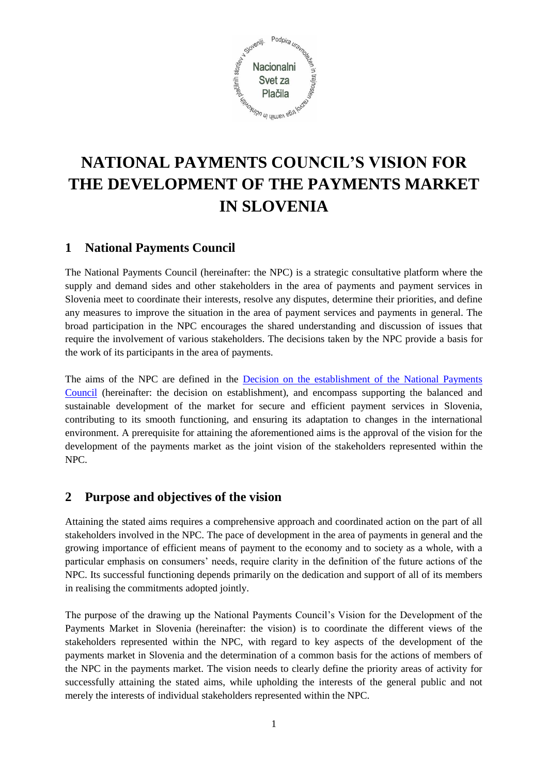

# **NATIONAL PAYMENTS COUNCIL'S VISION FOR THE DEVELOPMENT OF THE PAYMENTS MARKET IN SLOVENIA**

## **1 National Payments Council**

The National Payments Council (hereinafter: the NPC) is a strategic consultative platform where the supply and demand sides and other stakeholders in the area of payments and payment services in Slovenia meet to coordinate their interests, resolve any disputes, determine their priorities, and define any measures to improve the situation in the area of payment services and payments in general. The broad participation in the NPC encourages the shared understanding and discussion of issues that require the involvement of various stakeholders. The decisions taken by the NPC provide a basis for the work of its participants in the area of payments.

The aims of the NPC are defined in the [Decision on the establishment of the National Payments](https://bankaslovenije.blob.core.windows.net/uploaded/Pla%C4%8Dilni%20sistemi%2FNSP%2FDECISION_ON_THE_ESTABLISHMENT%20FINAL.pdf)  [Council](https://bankaslovenije.blob.core.windows.net/uploaded/Pla%C4%8Dilni%20sistemi%2FNSP%2FDECISION_ON_THE_ESTABLISHMENT%20FINAL.pdf) (hereinafter: the decision on establishment), and encompass supporting the balanced and sustainable development of the market for secure and efficient payment services in Slovenia, contributing to its smooth functioning, and ensuring its adaptation to changes in the international environment. A prerequisite for attaining the aforementioned aims is the approval of the vision for the development of the payments market as the joint vision of the stakeholders represented within the NPC.

### **2 Purpose and objectives of the vision**

Attaining the stated aims requires a comprehensive approach and coordinated action on the part of all stakeholders involved in the NPC. The pace of development in the area of payments in general and the growing importance of efficient means of payment to the economy and to society as a whole, with a particular emphasis on consumers' needs, require clarity in the definition of the future actions of the NPC. Its successful functioning depends primarily on the dedication and support of all of its members in realising the commitments adopted jointly.

The purpose of the drawing up the National Payments Council's Vision for the Development of the Payments Market in Slovenia (hereinafter: the vision) is to coordinate the different views of the stakeholders represented within the NPC, with regard to key aspects of the development of the payments market in Slovenia and the determination of a common basis for the actions of members of the NPC in the payments market. The vision needs to clearly define the priority areas of activity for successfully attaining the stated aims, while upholding the interests of the general public and not merely the interests of individual stakeholders represented within the NPC.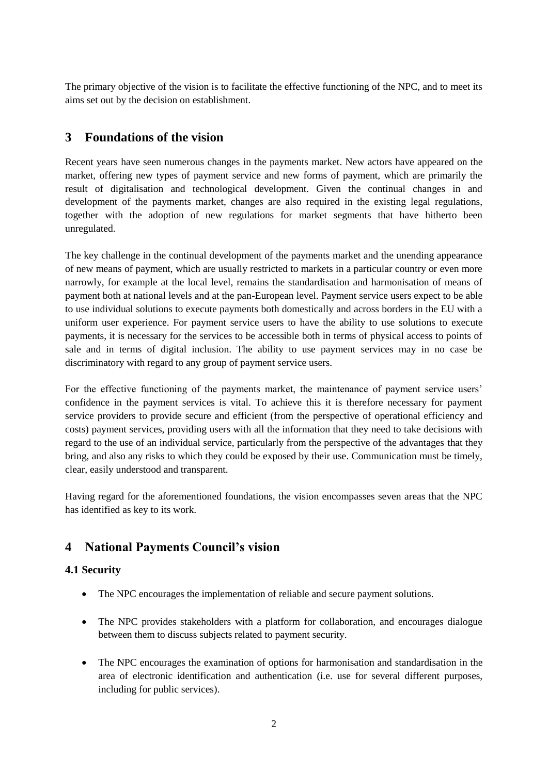The primary objective of the vision is to facilitate the effective functioning of the NPC, and to meet its aims set out by the decision on establishment.

## **3 Foundations of the vision**

Recent years have seen numerous changes in the payments market. New actors have appeared on the market, offering new types of payment service and new forms of payment, which are primarily the result of digitalisation and technological development. Given the continual changes in and development of the payments market, changes are also required in the existing legal regulations, together with the adoption of new regulations for market segments that have hitherto been unregulated.

The key challenge in the continual development of the payments market and the unending appearance of new means of payment, which are usually restricted to markets in a particular country or even more narrowly, for example at the local level, remains the standardisation and harmonisation of means of payment both at national levels and at the pan-European level. Payment service users expect to be able to use individual solutions to execute payments both domestically and across borders in the EU with a uniform user experience. For payment service users to have the ability to use solutions to execute payments, it is necessary for the services to be accessible both in terms of physical access to points of sale and in terms of digital inclusion. The ability to use payment services may in no case be discriminatory with regard to any group of payment service users.

For the effective functioning of the payments market, the maintenance of payment service users' confidence in the payment services is vital. To achieve this it is therefore necessary for payment service providers to provide secure and efficient (from the perspective of operational efficiency and costs) payment services, providing users with all the information that they need to take decisions with regard to the use of an individual service, particularly from the perspective of the advantages that they bring, and also any risks to which they could be exposed by their use. Communication must be timely, clear, easily understood and transparent.

Having regard for the aforementioned foundations, the vision encompasses seven areas that the NPC has identified as key to its work.

## **4 National Payments Council's vision**

#### **4.1 Security**

- The NPC encourages the implementation of reliable and secure payment solutions.
- The NPC provides stakeholders with a platform for collaboration, and encourages dialogue between them to discuss subjects related to payment security.
- The NPC encourages the examination of options for harmonisation and standardisation in the area of electronic identification and authentication (i.e. use for several different purposes, including for public services).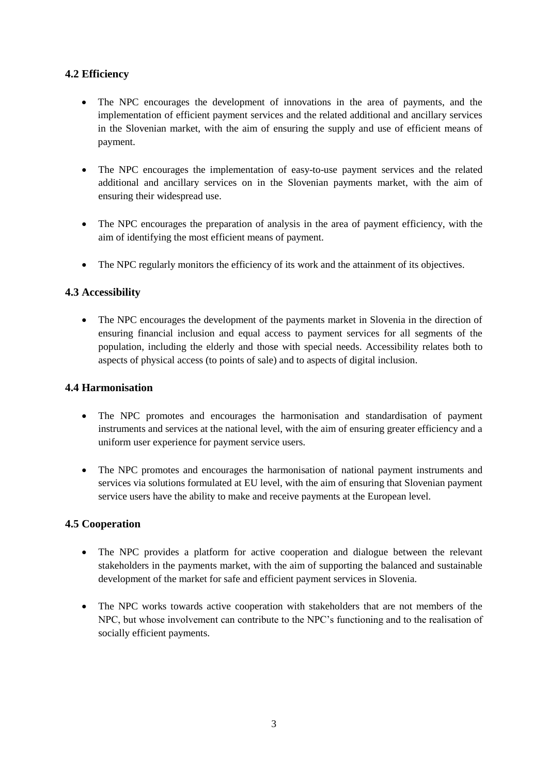#### **4.2 Efficiency**

- The NPC encourages the development of innovations in the area of payments, and the implementation of efficient payment services and the related additional and ancillary services in the Slovenian market, with the aim of ensuring the supply and use of efficient means of payment.
- The NPC encourages the implementation of easy-to-use payment services and the related additional and ancillary services on in the Slovenian payments market, with the aim of ensuring their widespread use.
- The NPC encourages the preparation of analysis in the area of payment efficiency, with the aim of identifying the most efficient means of payment.
- The NPC regularly monitors the efficiency of its work and the attainment of its objectives.

#### **4.3 Accessibility**

 The NPC encourages the development of the payments market in Slovenia in the direction of ensuring financial inclusion and equal access to payment services for all segments of the population, including the elderly and those with special needs. Accessibility relates both to aspects of physical access (to points of sale) and to aspects of digital inclusion.

#### **4.4 Harmonisation**

- The NPC promotes and encourages the harmonisation and standardisation of payment instruments and services at the national level, with the aim of ensuring greater efficiency and a uniform user experience for payment service users.
- The NPC promotes and encourages the harmonisation of national payment instruments and services via solutions formulated at EU level, with the aim of ensuring that Slovenian payment service users have the ability to make and receive payments at the European level.

#### **4.5 Cooperation**

- The NPC provides a platform for active cooperation and dialogue between the relevant stakeholders in the payments market, with the aim of supporting the balanced and sustainable development of the market for safe and efficient payment services in Slovenia.
- The NPC works towards active cooperation with stakeholders that are not members of the NPC, but whose involvement can contribute to the NPC's functioning and to the realisation of socially efficient payments.